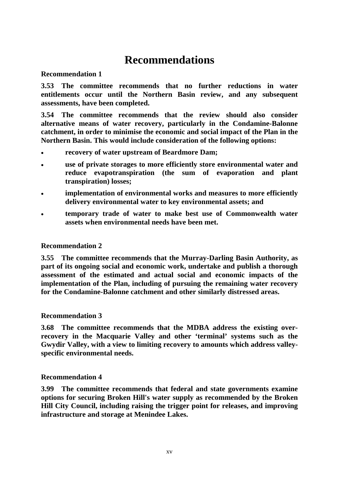# **Recommendation 1**

**3.53 The committee recommends that no further reductions in water entitlements occur until the Northern Basin review, and any subsequent assessments, have been completed.**

**3.54 The committee recommends that the review should also consider alternative means of water recovery, particularly in the Condamine-Balonne catchment, in order to minimise the economic and social impact of the Plan in the Northern Basin. This would include consideration of the following options:**

- **recovery of water upstream of Beardmore Dam;**
- **use of private storages to more efficiently store environmental water and reduce evapotranspiration (the sum of evaporation and plant transpiration) losses;**
- **implementation of environmental works and measures to more efficiently delivery environmental water to key environmental assets; and**
- **temporary trade of water to make best use of Commonwealth water assets when environmental needs have been met.**

# **Recommendation 2**

**3.55 The committee recommends that the Murray-Darling Basin Authority, as part of its ongoing social and economic work, undertake and publish a thorough assessment of the estimated and actual social and economic impacts of the implementation of the Plan, including of pursuing the remaining water recovery for the Condamine-Balonne catchment and other similarly distressed areas.**

# **Recommendation 3**

**3.68 The committee recommends that the MDBA address the existing overrecovery in the Macquarie Valley and other 'terminal' systems such as the Gwydir Valley, with a view to limiting recovery to amounts which address valleyspecific environmental needs.**

# **Recommendation 4**

**3.99 The committee recommends that federal and state governments examine options for securing Broken Hill's water supply as recommended by the Broken Hill City Council, including raising the trigger point for releases, and improving infrastructure and storage at Menindee Lakes.**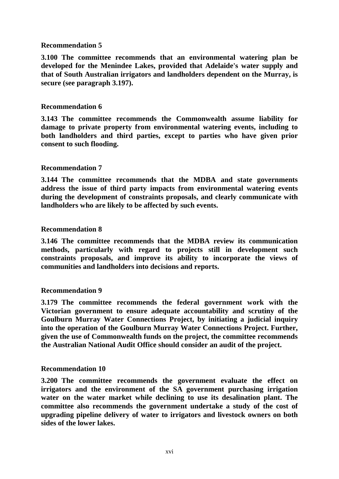**3.100 The committee recommends that an environmental watering plan be developed for the Menindee Lakes, provided that Adelaide's water supply and that of South Australian irrigators and landholders dependent on the Murray, is secure (see paragraph 3.197).**

# **Recommendation 6**

**3.143 The committee recommends the Commonwealth assume liability for damage to private property from environmental watering events, including to both landholders and third parties, except to parties who have given prior consent to such flooding.**

# **Recommendation 7**

**3.144 The committee recommends that the MDBA and state governments address the issue of third party impacts from environmental watering events during the development of constraints proposals, and clearly communicate with landholders who are likely to be affected by such events.**

# **Recommendation 8**

**3.146 The committee recommends that the MDBA review its communication methods, particularly with regard to projects still in development such constraints proposals, and improve its ability to incorporate the views of communities and landholders into decisions and reports.**

# **Recommendation 9**

**3.179 The committee recommends the federal government work with the Victorian government to ensure adequate accountability and scrutiny of the Goulburn Murray Water Connections Project, by initiating a judicial inquiry into the operation of the Goulburn Murray Water Connections Project. Further, given the use of Commonwealth funds on the project, the committee recommends the Australian National Audit Office should consider an audit of the project.**

# **Recommendation 10**

**3.200 The committee recommends the government evaluate the effect on irrigators and the environment of the SA government purchasing irrigation water on the water market while declining to use its desalination plant. The committee also recommends the government undertake a study of the cost of upgrading pipeline delivery of water to irrigators and livestock owners on both sides of the lower lakes.**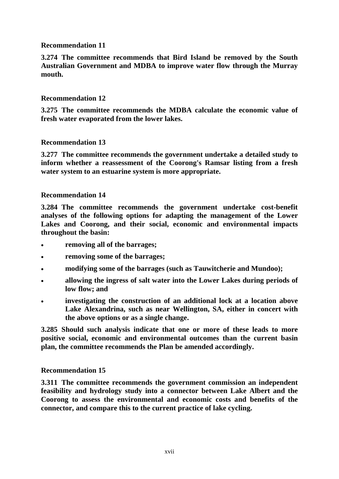**3.274 The committee recommends that Bird Island be removed by the South Australian Government and MDBA to improve water flow through the Murray mouth.**

# **Recommendation 12**

**3.275 The committee recommends the MDBA calculate the economic value of fresh water evaporated from the lower lakes.**

# **Recommendation 13**

**3.277 The committee recommends the government undertake a detailed study to inform whether a reassessment of the Coorong's Ramsar listing from a fresh water system to an estuarine system is more appropriate.**

# **Recommendation 14**

**3.284 The committee recommends the government undertake cost-benefit analyses of the following options for adapting the management of the Lower Lakes and Coorong, and their social, economic and environmental impacts throughout the basin:**

- **removing all of the barrages;**
- **removing some of the barrages;**
- **modifying some of the barrages (such as Tauwitcherie and Mundoo);**
- **allowing the ingress of salt water into the Lower Lakes during periods of low flow; and**
- **investigating the construction of an additional lock at a location above Lake Alexandrina, such as near Wellington, SA, either in concert with the above options or as a single change.**

**3.285 Should such analysis indicate that one or more of these leads to more positive social, economic and environmental outcomes than the current basin plan, the committee recommends the Plan be amended accordingly.**

# **Recommendation 15**

**3.311 The committee recommends the government commission an independent feasibility and hydrology study into a connector between Lake Albert and the Coorong to assess the environmental and economic costs and benefits of the connector, and compare this to the current practice of lake cycling.**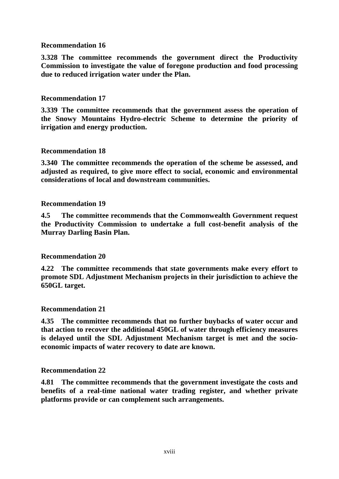**3.328 The committee recommends the government direct the Productivity Commission to investigate the value of foregone production and food processing due to reduced irrigation water under the Plan.**

# **Recommendation 17**

**3.339 The committee recommends that the government assess the operation of the Snowy Mountains Hydro-electric Scheme to determine the priority of irrigation and energy production.**

# **Recommendation 18**

**3.340 The committee recommends the operation of the scheme be assessed, and adjusted as required, to give more effect to social, economic and environmental considerations of local and downstream communities.**

# **Recommendation 19**

**4.5 The committee recommends that the Commonwealth Government request the Productivity Commission to undertake a full cost-benefit analysis of the Murray Darling Basin Plan.**

# **Recommendation 20**

**4.22 The committee recommends that state governments make every effort to promote SDL Adjustment Mechanism projects in their jurisdiction to achieve the 650GL target.**

# **Recommendation 21**

**4.35 The committee recommends that no further buybacks of water occur and that action to recover the additional 450GL of water through efficiency measures is delayed until the SDL Adjustment Mechanism target is met and the socioeconomic impacts of water recovery to date are known.**

# **Recommendation 22**

**4.81 The committee recommends that the government investigate the costs and benefits of a real-time national water trading register, and whether private platforms provide or can complement such arrangements.**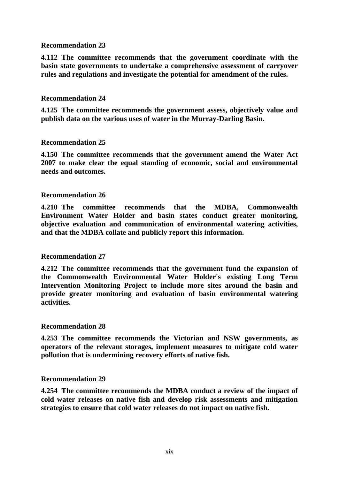**4.112 The committee recommends that the government coordinate with the basin state governments to undertake a comprehensive assessment of carryover rules and regulations and investigate the potential for amendment of the rules.**

# **Recommendation 24**

**4.125 The committee recommends the government assess, objectively value and publish data on the various uses of water in the Murray-Darling Basin.**

# **Recommendation 25**

**4.150 The committee recommends that the government amend the Water Act 2007 to make clear the equal standing of economic, social and environmental needs and outcomes.**

# **Recommendation 26**

**4.210 The committee recommends that the MDBA, Commonwealth Environment Water Holder and basin states conduct greater monitoring, objective evaluation and communication of environmental watering activities, and that the MDBA collate and publicly report this information.**

# **Recommendation 27**

**4.212 The committee recommends that the government fund the expansion of the Commonwealth Environmental Water Holder's existing Long Term Intervention Monitoring Project to include more sites around the basin and provide greater monitoring and evaluation of basin environmental watering activities.**

#### **Recommendation 28**

**4.253 The committee recommends the Victorian and NSW governments, as operators of the relevant storages, implement measures to mitigate cold water pollution that is undermining recovery efforts of native fish.**

#### **Recommendation 29**

**4.254 The committee recommends the MDBA conduct a review of the impact of cold water releases on native fish and develop risk assessments and mitigation strategies to ensure that cold water releases do not impact on native fish.**